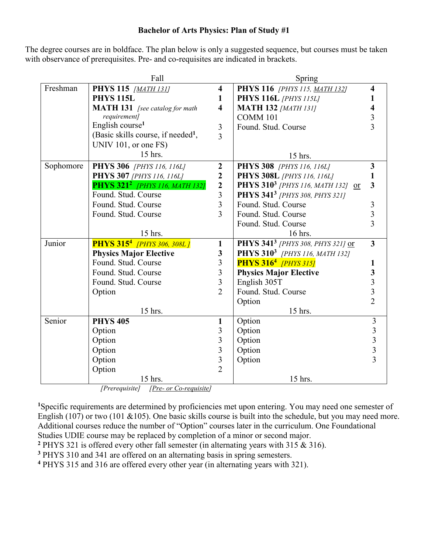## **Bachelor of Arts Physics: Plan of Study #1**

The degree courses are in boldface. The plan below is only a suggested sequence, but courses must be taken with observance of prerequisites. Pre- and co-requisites are indicated in brackets.

|           | Fall                                             |                         | Spring                                        |                                                 |
|-----------|--------------------------------------------------|-------------------------|-----------------------------------------------|-------------------------------------------------|
| Freshman  | <b>PHYS 115</b> [MATH 131]                       | $\overline{\mathbf{4}}$ | PHYS 116 [PHYS 115, MATH 132]                 | $\overline{\mathbf{4}}$                         |
|           | <b>PHYS 115L</b>                                 | 1                       | <b>PHYS 116L</b> [PHYS 115L]                  |                                                 |
|           | <b>MATH 131</b> [see catalog for math            | $\overline{\mathbf{4}}$ | <b>MATH 132 [MATH 131]</b>                    |                                                 |
|           | requirement]                                     |                         | <b>COMM 101</b>                               | $\frac{3}{3}$                                   |
|           | English course <sup>1</sup>                      | 3                       | Found. Stud. Course                           |                                                 |
|           | (Basic skills course, if needed <sup>1</sup> ,   | 3                       |                                               |                                                 |
|           | UNIV 101, or one FS)                             |                         |                                               |                                                 |
|           | 15 hrs.                                          |                         | 15 hrs.                                       |                                                 |
| Sophomore | <b>PHYS 306</b> [PHYS 116, 116L]                 | $\boldsymbol{2}$        | <b>PHYS 308</b> [PHYS 116, 116L]              | $\mathbf{3}$                                    |
|           | <b>PHYS 307</b> [PHYS 116, 116L]                 | $\boldsymbol{2}$        | <b>PHYS 308L</b> [PHYS 116, 116L]             |                                                 |
|           | <b>PHYS 321<sup>2</sup></b> [PHYS 116, MATH 132] | $\boldsymbol{2}$        | PHYS 310 <sup>3</sup> [PHYS 116, MATH 132] or | 3                                               |
|           | Found. Stud. Course                              | 3                       | PHYS 341 <sup>3</sup> [PHYS 308, PHYS 321]    |                                                 |
|           | Found. Stud. Course                              | $\overline{3}$          | Found. Stud. Course                           | $\mathfrak{Z}$                                  |
|           | Found. Stud. Course                              | 3                       | Found. Stud. Course                           | $\overline{\mathbf{3}}$                         |
|           |                                                  |                         | Found. Stud. Course                           | $\overline{3}$                                  |
|           | 15 hrs.                                          |                         | 16 hrs.                                       |                                                 |
| Junior    | <b>PHYS 315<sup>4</sup></b> [PHYS 306, 308L]     | $\mathbf{1}$            | PHYS 341 <sup>3</sup> [PHYS 308, PHYS 321] or | $\overline{3}$                                  |
|           | <b>Physics Major Elective</b>                    | 3                       | PHYS 310 <sup>3</sup> [PHYS 116, MATH 132]    |                                                 |
|           | Found. Stud. Course                              | 3                       | <b>PHYS 316<sup>4</sup></b> [PHYS 315]        | 1                                               |
|           | Found. Stud. Course                              | 3                       | <b>Physics Major Elective</b>                 | $\mathbf{3}$                                    |
|           | Found. Stud. Course                              | 3                       | English 305T                                  |                                                 |
|           | Option                                           | $\overline{2}$          | Found. Stud. Course                           | $\begin{array}{c} 3 \\ 3 \\ 2 \end{array}$      |
|           |                                                  |                         | Option                                        |                                                 |
|           | 15 hrs.                                          |                         | 15 hrs.                                       |                                                 |
| Senior    | <b>PHYS 405</b>                                  | $\mathbf{1}$            | Option                                        | $\begin{array}{c} 3 \\ 3 \\ 3 \\ 3 \end{array}$ |
|           | Option                                           | 3                       | Option                                        |                                                 |
|           | Option                                           | $\mathfrak{Z}$          | Option                                        |                                                 |
|           | Option                                           | $\overline{3}$          | Option                                        |                                                 |
|           | Option                                           | $\overline{\mathbf{3}}$ | Option                                        |                                                 |
|           | Option                                           | $\overline{2}$          |                                               |                                                 |
|           | 15 hrs.                                          |                         | 15 hrs.                                       |                                                 |

*[Prerequisite] [Pre- or Co-requisite]*

**<sup>1</sup>**Specific requirements are determined by proficiencies met upon entering. You may need one semester of English (107) or two (101 & 105). One basic skills course is built into the schedule, but you may need more. Additional courses reduce the number of "Option" courses later in the curriculum. One Foundational Studies UDIE course may be replaced by completion of a minor or second major.

- **<sup>2</sup>** PHYS 321 is offered every other fall semester (in alternating years with 315 & 316).
- **<sup>3</sup>** PHYS 310 and 341 are offered on an alternating basis in spring semesters.
- **<sup>4</sup>** PHYS 315 and 316 are offered every other year (in alternating years with 321).